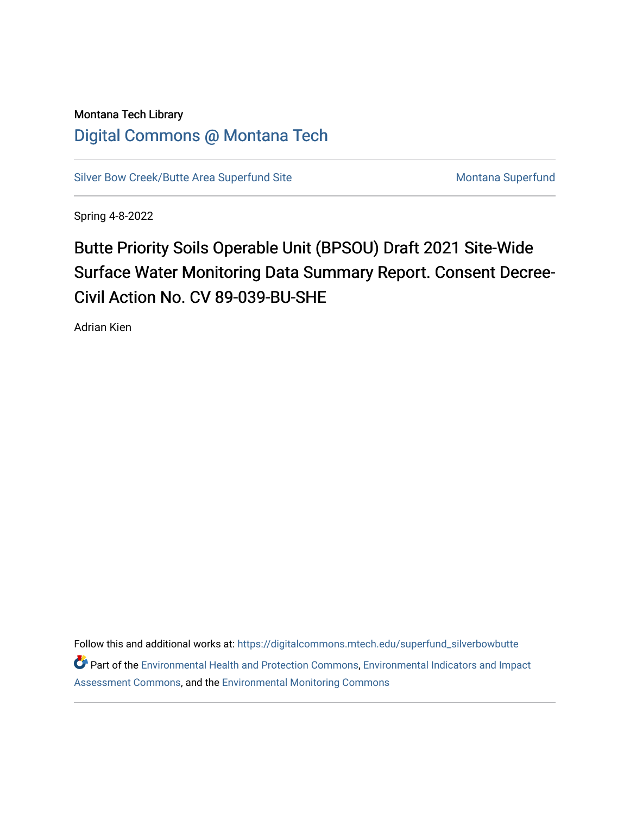## Montana Tech Library [Digital Commons @ Montana Tech](https://digitalcommons.mtech.edu/)

[Silver Bow Creek/Butte Area Superfund Site](https://digitalcommons.mtech.edu/superfund_silverbowbutte) Montana Superfund

Spring 4-8-2022

## Butte Priority Soils Operable Unit (BPSOU) Draft 2021 Site-Wide Surface Water Monitoring Data Summary Report. Consent Decree-Civil Action No. CV 89-039-BU-SHE

Adrian Kien

Follow this and additional works at: [https://digitalcommons.mtech.edu/superfund\\_silverbowbutte](https://digitalcommons.mtech.edu/superfund_silverbowbutte?utm_source=digitalcommons.mtech.edu%2Fsuperfund_silverbowbutte%2F227&utm_medium=PDF&utm_campaign=PDFCoverPages) Part of the [Environmental Health and Protection Commons,](http://network.bepress.com/hgg/discipline/172?utm_source=digitalcommons.mtech.edu%2Fsuperfund_silverbowbutte%2F227&utm_medium=PDF&utm_campaign=PDFCoverPages) [Environmental Indicators and Impact](http://network.bepress.com/hgg/discipline/1015?utm_source=digitalcommons.mtech.edu%2Fsuperfund_silverbowbutte%2F227&utm_medium=PDF&utm_campaign=PDFCoverPages) [Assessment Commons,](http://network.bepress.com/hgg/discipline/1015?utm_source=digitalcommons.mtech.edu%2Fsuperfund_silverbowbutte%2F227&utm_medium=PDF&utm_campaign=PDFCoverPages) and the [Environmental Monitoring Commons](http://network.bepress.com/hgg/discipline/931?utm_source=digitalcommons.mtech.edu%2Fsuperfund_silverbowbutte%2F227&utm_medium=PDF&utm_campaign=PDFCoverPages)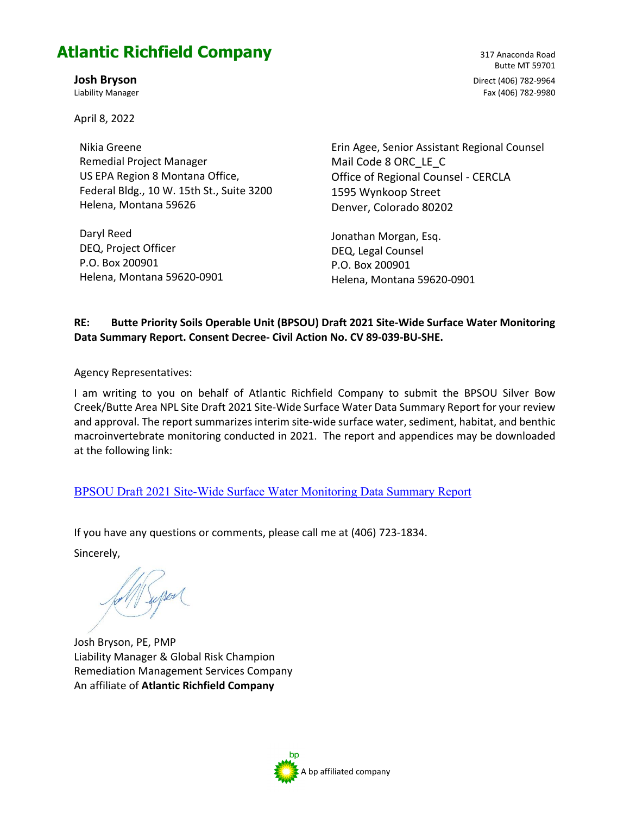## **Atlantic Richfield Company**

April 8, 2022

Nikia Greene Remedial Project Manager US EPA Region 8 Montana Office, Federal Bldg., 10 W. 15th St., Suite 3200 Helena, Montana 59626

Daryl Reed DEQ, Project Officer P.O. Box 200901 Helena, Montana 59620-0901

Butte MT 59701 **Josh Bryson** Direct (406) 782-9964 Liability Manager Fax (406) 782-9980

317 Anaconda Road

Erin Agee, Senior Assistant Regional Counsel Mail Code 8 ORC\_LE\_C Office of Regional Counsel - CERCLA 1595 Wynkoop Street Denver, Colorado 80202

Jonathan Morgan, Esq. DEQ, Legal Counsel P.O. Box 200901 Helena, Montana 59620-0901

## **RE: Butte Priority Soils Operable Unit (BPSOU) Draft 2021 Site-Wide Surface Water Monitoring Data Summary Report. Consent Decree- Civil Action No. CV 89-039-BU-SHE.**

Agency Representatives:

I am writing to you on behalf of Atlantic Richfield Company to submit the BPSOU Silver Bow Creek/Butte Area NPL Site Draft 2021 Site-Wide Surface Water Data Summary Report for your review and approval. The report summarizes interim site-wide surface water, sediment, habitat, and benthic macroinvertebrate monitoring conducted in 2021. The report and appendices may be downloaded at the following link:

[BPSOU Draft 2021 Site-Wide Surface Water Monitoring Data Summary Report](https://woodardcurran-my.sharepoint.com/:f:/p/merickson/EkBMlFRNhLdBqqGV7fFMLXUBmD_KLLk57N5qFwrsHa9Sew?e=hdSHQD)

If you have any questions or comments, please call me at (406) 723-1834.

Sincerely,

Josh Bryson, PE, PMP Liability Manager & Global Risk Champion Remediation Management Services Company An affiliate of **Atlantic Richfield Company** 

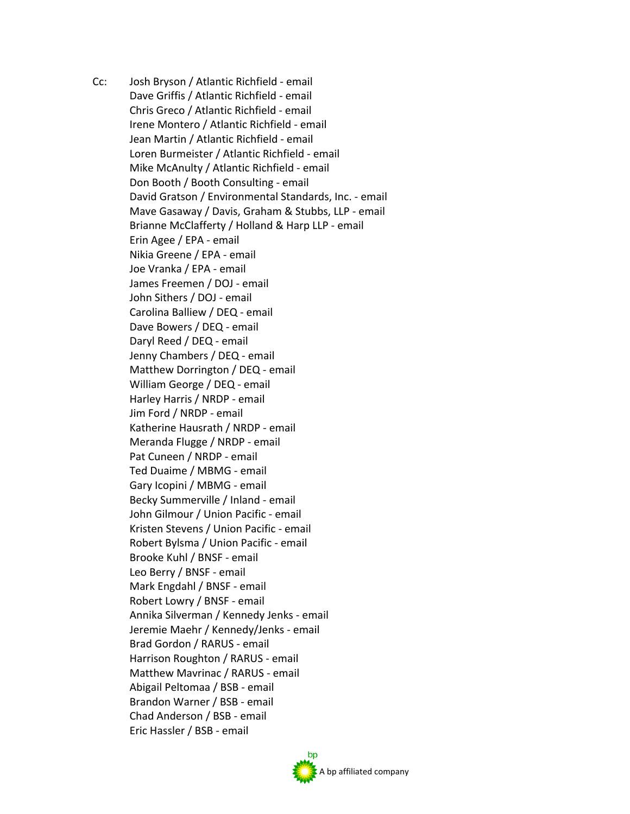Cc: Josh Bryson / Atlantic Richfield - email Dave Griffis / Atlantic Richfield - email Chris Greco / Atlantic Richfield - email Irene Montero / Atlantic Richfield - email Jean Martin / Atlantic Richfield - email Loren Burmeister / Atlantic Richfield - email Mike McAnulty / Atlantic Richfield - email Don Booth / Booth Consulting - email David Gratson / Environmental Standards, Inc. - email Mave Gasaway / Davis, Graham & Stubbs, LLP - email Brianne McClafferty / Holland & Harp LLP - email Erin Agee / EPA - email Nikia Greene / EPA - email Joe Vranka / EPA - email James Freemen / DOJ - email John Sithers / DOJ - email Carolina Balliew / DEQ - email Dave Bowers / DEQ - email Daryl Reed / DEQ - email Jenny Chambers / DEQ - email Matthew Dorrington / DEQ - email William George / DEQ - email Harley Harris / NRDP - email Jim Ford / NRDP - email Katherine Hausrath / NRDP - email Meranda Flugge / NRDP - email Pat Cuneen / NRDP - email Ted Duaime / MBMG - email Gary Icopini / MBMG - email Becky Summerville / Inland - email John Gilmour / Union Pacific - email Kristen Stevens / Union Pacific - email Robert Bylsma / Union Pacific - email Brooke Kuhl / BNSF - email Leo Berry / BNSF - email Mark Engdahl / BNSF - email Robert Lowry / BNSF - email Annika Silverman / Kennedy Jenks - email Jeremie Maehr / Kennedy/Jenks - email Brad Gordon / RARUS - email Harrison Roughton / RARUS - email Matthew Mavrinac / RARUS - email Abigail Peltomaa / BSB - email Brandon Warner / BSB - email Chad Anderson / BSB - email Eric Hassler / BSB - email